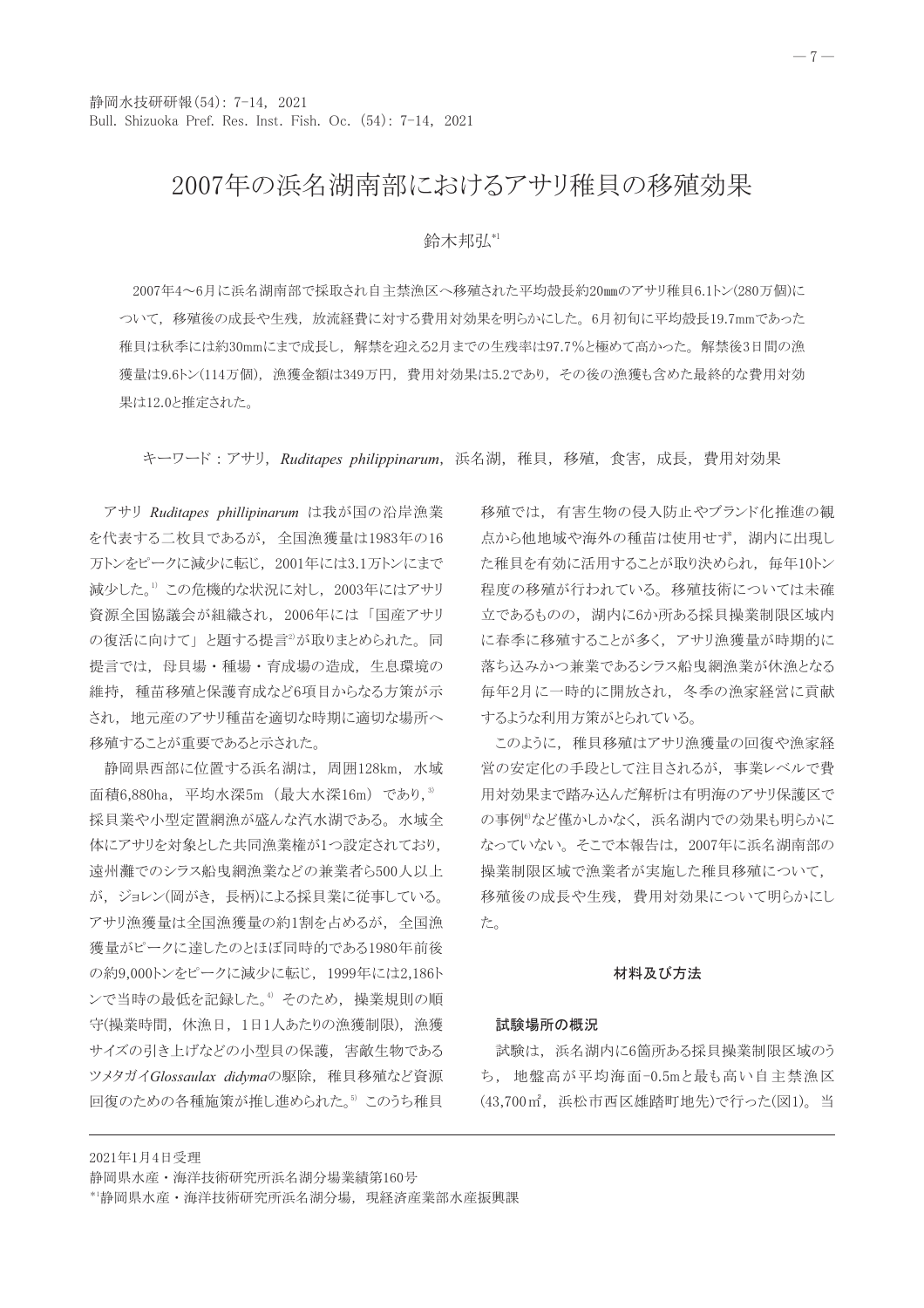## 2007年の浜名湖南部におけるアサリ稚貝の移殖効果

## 給木邦弘"

2007年4~6月に浜名湖南部で採取され自主禁漁区へ移殖された平均殻長約20mmのアサリ稚貝6.1トン(280万個)に ついて、移殖後の成長や生残、放流経費に対する費用対効果を明らかにした。6月初旬に平均殻長19.7mmであった 稚貝は秋季には約30mmにまで成長し、解禁を迎える2月までの生残率は97.7%と極めて高かった。解禁後3日間の漁 獲量は9.6トン(114万個)、漁獲金額は349万円、費用対効果は5.2であり、その後の漁獲も含めた最終的な費用対効 果は12.0と推定された。

キーワード:アサリ, Ruditapes philippinarum, 浜名湖, 稚貝, 移殖, 食害, 成長, 費用対効果

アサリ Ruditapes phillipinarum は我が国の沿岸漁業 を代表する二枚貝であるが、全国漁獲量は1983年の16 万トンをピークに減少に転じ、2001年には3.1万トンにまで 減少した。1) この危機的な状況に対し、2003年にはアサリ 資源全国協議会が組織され、2006年には「国産アサリ の復活に向けて」と題する提言<sup>2)</sup>が取りまとめられた。同 提言では、母貝場・種場・育成場の造成、生息環境の 維持、種苗移殖と保護育成など6項目からなる方策が示 され、地元産のアサリ種苗を適切な時期に適切な場所へ 移殖することが重要であると示された。

静岡県西部に位置する浜名湖は、周囲128km, 水域 面積6,880ha, 平均水深5m (最大水深16m) であり, 3) 採貝業や小型定置網漁が盛んな汽水湖である。水域全 体にアサリを対象とした共同漁業権が1つ設定されており、 遠州灘でのシラス船曳網漁業などの兼業者ら500人以上 が、ジョレン(岡がき、長柄)による採貝業に従事している。 アサリ漁獲量は全国漁獲量の約1割を占めるが、全国漁 獲量がピークに達したのとほぼ同時的である1980年前後 の約9,000トンをピークに減少に転じ、1999年には2,186ト ンで当時の最低を記録した。<sup>4</sup> そのため、操業規則の順 守(操業時間, 休漁日, 1日1人あたりの漁獲制限), 漁獲 サイズの引き上げなどの小型貝の保護、害敵生物である ツメタガイGlossaulax didymaの駆除、稚貝移殖など資源 回復のための各種施策が推し進められた。<sup>5</sup> このうち稚貝

移殖では、有害生物の侵入防止やブランド化推進の観 点から他地域や海外の種苗は使用せず、湖内に出現し た稚貝を有効に活用することが取り決められ、毎年10トン 程度の移殖が行われている。移殖技術については未確 立であるものの、湖内に6か所ある採貝操業制限区域内 に春季に移殖することが多く、アサリ漁獲量が時期的に 落ち込みかつ兼業であるシラス船曳網漁業が休漁となる 毎年2月に一時的に開放され、冬季の漁家経営に貢献 するような利用方策がとられている。

このように、稚貝移殖はアサリ漁獲量の回復や漁家経 営の安定化の手段として注目されるが、事業レベルで費 用対効果まで踏み込んだ解析は有明海のアサリ保護区で の事例<sup>®</sup>など僅かしかなく、浜名湖内での効果も明らかに なっていない。そこで本報告は、2007年に浜名湖南部の 操業制限区域で漁業者が実施した稚貝移殖について, 移殖後の成長や生残、費用対効果について明らかにし た。

#### 材料及び方法

#### 試験場所の概況

試験は、浜名湖内に6箇所ある採貝操業制限区域のう ち、地盤高が平均海面-0.5mと最も高い自主禁漁区 (43,700m2, 浜松市西区雄踏町地先)で行った(図1)。当

静岡県水産·海洋技術研究所浜名湖分場業績第160号

2021年1月4日受理

\*1静岡県水産·海洋技術研究所浜名湖分場, 現経済産業部水産振興課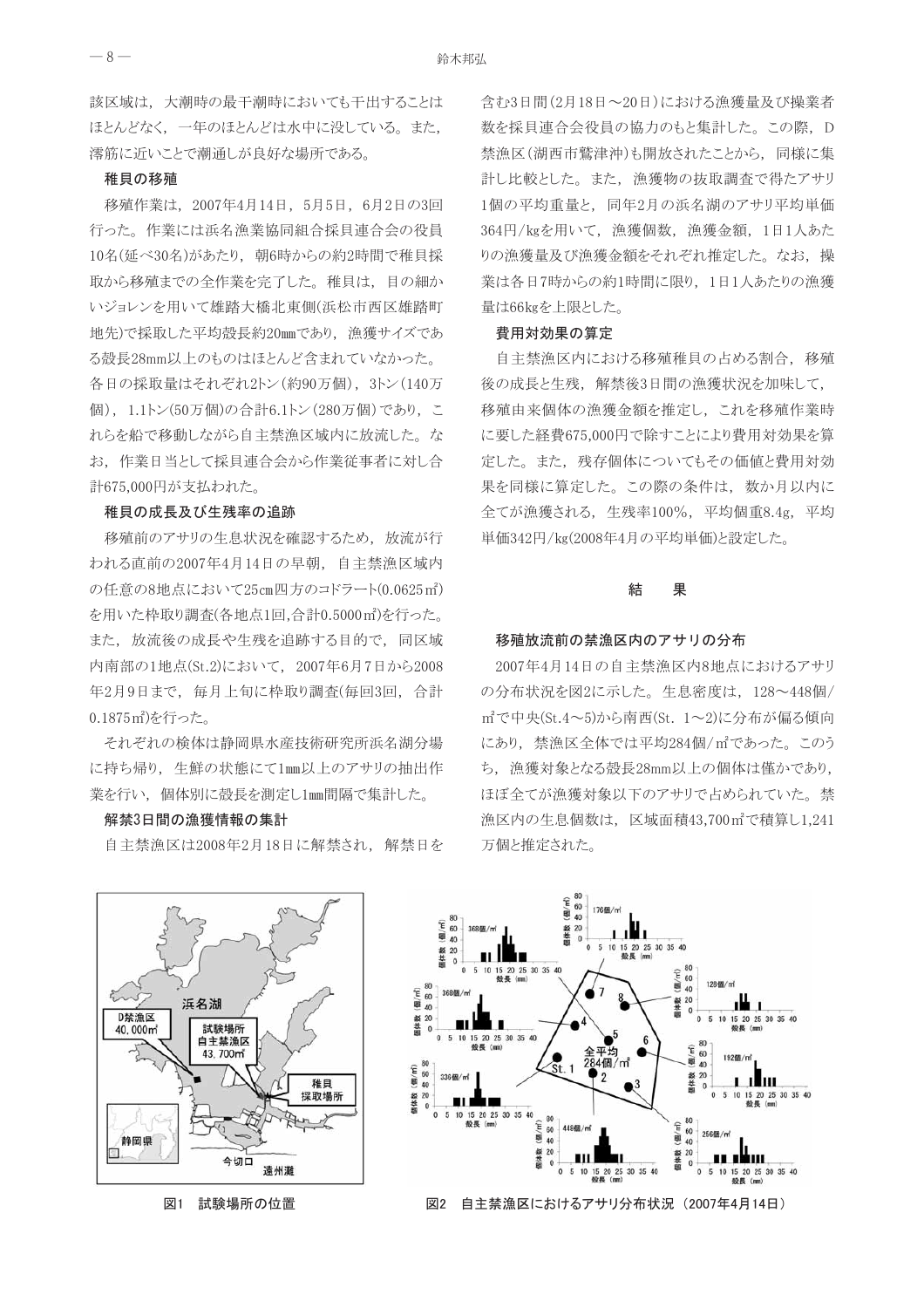該区域は、大潮時の最干潮時においても干出することは ほとんどなく、一年のほとんどは水中に没している。また, 澪筋に近いことで潮通しが良好な場所である。

## 稚貝の移殖

移殖作業は、2007年4月14日、5月5日、6月2日の3回 行った。作業には浜名漁業協同組合採貝連合会の役員 10名(延べ30名)があたり、朝6時からの約2時間で稚貝採 取から移殖までの全作業を完了した。稚貝は、目の細か いジョレンを用いて雄踏大橋北東側(浜松市西区雄踏町 地先)で採取した平均殻長約20mmであり、漁獲サイズであ る殻長28mm以上のものはほとんど含まれていなかった。 各日の採取量はそれぞれ2トン (約90万個), 3トン (140万 個), 1.1トン(50万個)の合計6.1トン(280万個)であり, こ れらを船で移動しながら自主禁漁区域内に放流した。な お、作業日当として採貝連合会から作業従事者に対し合 計675,000円が支払われた。

#### 稚貝の成長及び生残率の追跡

移殖前のアサリの生息状況を確認するため、放流が行 われる直前の2007年4月14日の早朝、自主禁漁区域内 の任意の8地点において25cm四方のコドラート(0.0625m2) を用いた枠取り調査(各地点1回,合計0.5000㎡)を行った。 また、放流後の成長や生残を追跡する目的で、同区域 内南部の1地点(St.2)において、2007年6月7日から2008 年2月9日まで、毎月上旬に枠取り調査(毎回3回、合計 0.1875m2を行った。

それぞれの検体は静岡県水産技術研究所浜名湖分場 に持ち帰り、生鮮の状態にて1mm以上のアサリの抽出作 業を行い、個体別に殻長を測定し1mm間隔で集計した。

#### 解禁3日間の漁獲情報の集計

自主禁漁区は2008年2月18日に解禁され、解禁日を

含む3日間(2月18日~20日)における漁獲量及び操業者 数を採貝連合会役員の協力のもと集計した。この際, D 禁漁区(湖西市鷲津沖)も開放されたことから、同様に集 計し比較とした。また、漁獲物の抜取調査で得たアサリ 1個の平均重量と、同年2月の浜名湖のアサリ平均単価 364円/kgを用いて、漁獲個数, 漁獲金額, 1日1人あた りの漁獲量及び漁獲金額をそれぞれ推定した。なお、操 業は各日7時からの約1時間に限り、1日1人あたりの漁獲 量は66kgを上限とした。

#### 費用対効果の算定

自主禁漁区内における移殖稚貝の占める割合、移殖 後の成長と生残、解禁後3日間の漁獲状況を加味して、 移殖由来個体の漁獲金額を推定し、これを移殖作業時 に要した経費675,000円で除すことにより費用対効果を算 定した。また、残存個体についてもその価値と費用対効 果を同様に算定した。この際の条件は、数か月以内に 全てが漁獲される、生残率100%, 平均個重8.4g, 平均 単価342円/kg(2008年4月の平均単価)と設定した。

#### 結 果

#### 移殖放流前の禁漁区内のアサリの分布

2007年4月14日の自主禁漁区内8地点におけるアサリ の分布状況を図2に示した。生息密度は、128~448個/ m2で中央(St.4~5)から南西(St. 1~2)に分布が偏る傾向 にあり、禁漁区全体では平均284個/m2であった。このう ち、漁獲対象となる殻長28mm以上の個体は僅かであり, ほぼ全てが漁獲対象以下のアサリで占められていた。禁 漁区内の生息個数は、区域面積43,700m2で積算し1,241 万個と推定された。



試験場所の位置 図1



図2 自主禁漁区におけるアサリ分布状況 (2007年4月14日)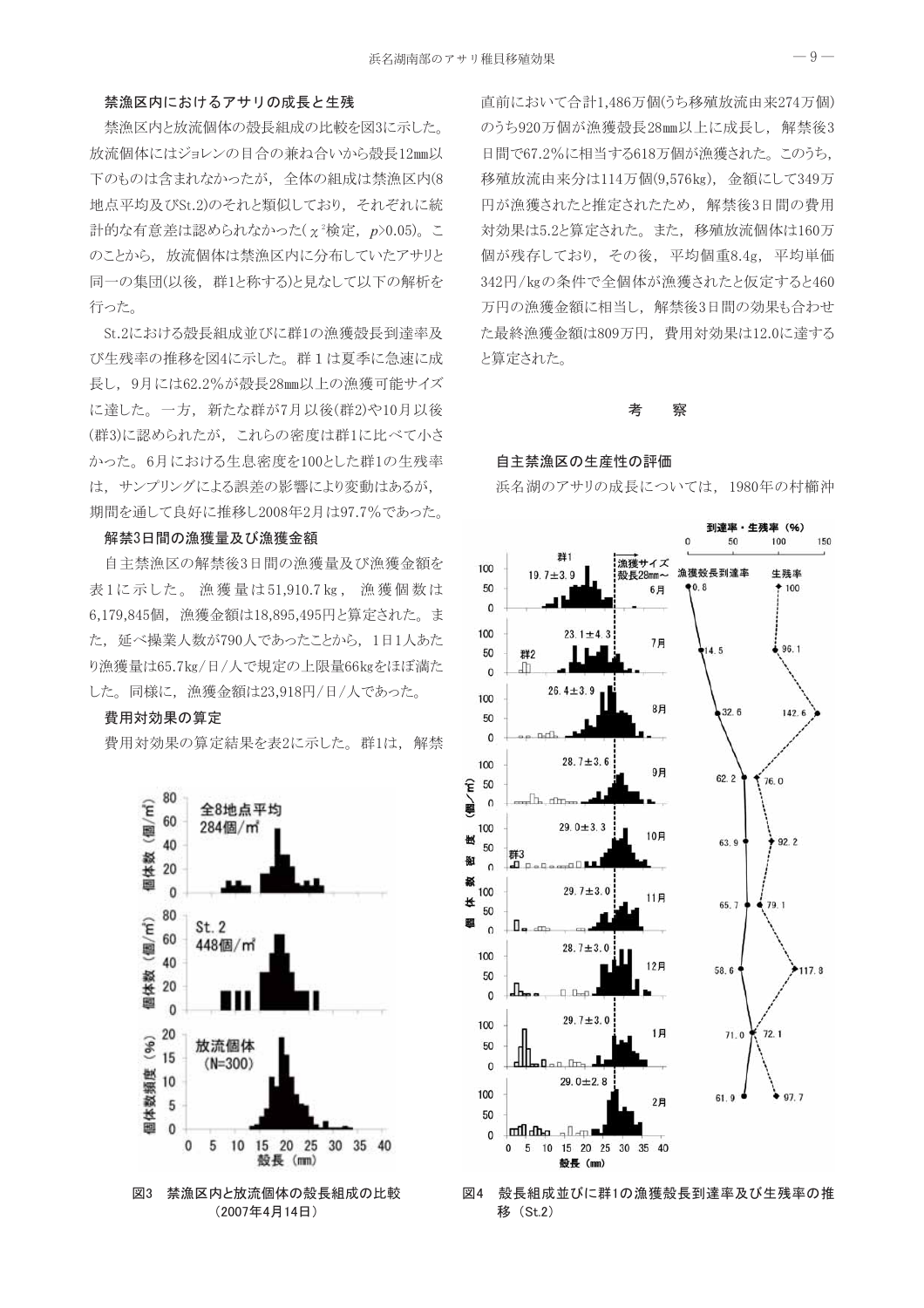## 禁漁区内におけるアサリの成長と生残

禁漁区内と放流個体の殻長組成の比較を図3に示した。 放流個体にはジョレンの目合の兼ね合いから殻長12mm以 下のものは含まれなかったが、全体の組成は禁漁区内(8 地点平均及びSt.2)のそれと類似しており、それぞれに統 計的な有意差は認められなかった $(\chi^2)$ 検定,  $p > 0.05)$ 。こ のことから、放流個体は禁漁区内に分布していたアサリと 同一の集団(以後、群1と称する)と見なして以下の解析を 行った。

St.2における殻長組成並びに群1の漁獲殻長到達率及 び生残率の推移を図4に示した。群1は夏季に急速に成 長し、9月には62.2%が殻長28mm以上の漁獲可能サイズ に達した。一方、新たな群が7月以後(群2)や10月以後 (群3)に認められたが、これらの密度は群1に比べて小さ かった。6月における生息密度を100とした群1の生残率 は、サンプリングによる誤差の影響により変動はあるが, 期間を通して良好に推移し2008年2月は97.7%であった。

## 解禁3日間の漁獲量及び漁獲金額

自主禁漁区の解禁後3日間の漁獲量及び漁獲金額を 表1に示した。 漁獲量は51,910.7kg, 漁獲個数は 6,179,845個, 漁獲金額は18,895,495円と算定された。ま た、延べ操業人数が790人であったことから、1日1人あた り漁獲量は65.7kg/日/人で規定の上限量66kgをほぼ満た した。同様に、漁獲金額は23,918円/日/人であった。

#### 費用対効果の算定

費用対効果の算定結果を表2に示した。群1は、解禁



(2007年4月14日)

直前において合計1,486万個(うち移殖放流由来274万個) のうち920万個が漁獲殻長28mm以上に成長し、解禁後3 日間で67.2%に相当する618万個が漁獲された。このうち, 移殖放流由来分は114万個(9,576kg), 金額にして349万 円が漁獲されたと推定されたため、解禁後3日間の費用 対効果は5.2と算定された。また、移殖放流個体は160万 個が残存しており、その後、平均個重8.4g, 平均単価 342円/kgの条件で全個体が漁獲されたと仮定すると460 万円の漁獲金額に相当し、解禁後3日間の効果も合わせ た最終漁獲金額は809万円、費用対効果は12.0に達する と算定された。

#### 考 察

#### 自主禁漁区の生産性の評価

浜名湖のアサリの成長については、1980年の村櫛沖



#### 図4 殻長組成並びに群1の漁獲殻長到達率及び生残率の推 移 (St.2)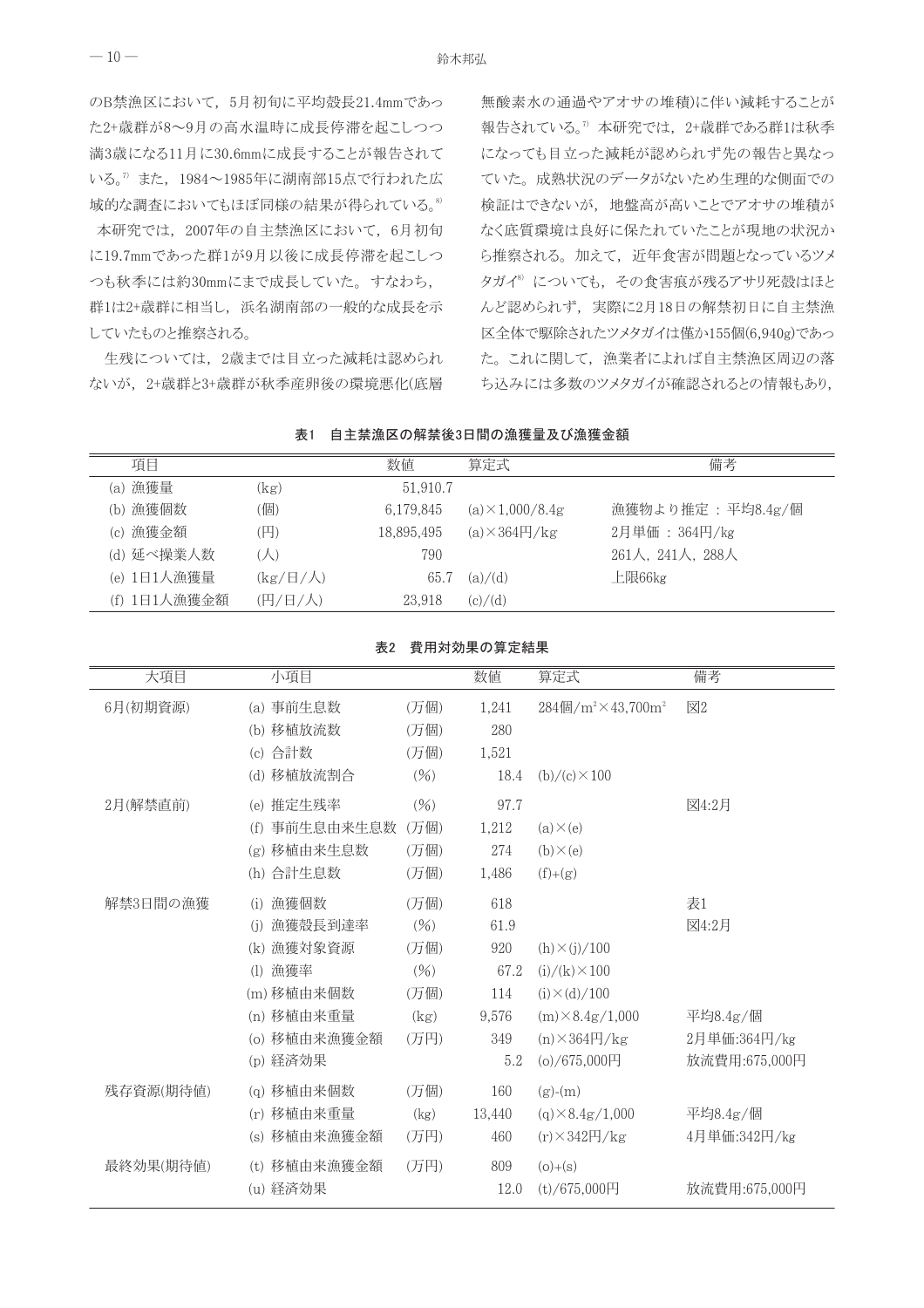のB禁漁区において、5月初旬に平均殻長21.4mmであっ た2+歳群が8~9月の高水温時に成長停滞を起こしつつ 満3歳になる11月に30.6mmに成長することが報告されて いる。<sup>7</sup>また、1984~1985年に湖南部15点で行われた広 域的な調査においてもほぼ同様の結果が得られている。<sup>8)</sup>

本研究では、2007年の自主禁漁区において、6月初旬 に19.7mmであった群1が9月以後に成長停滞を起こしつ つも秋季には約30mmにまで成長していた。すなわち, 群1は2+歳群に相当し、浜名湖南部の一般的な成長を示 していたものと推察される。

生残については、2歳までは目立った減耗は認められ ないが、2+歳群と3+歳群が秋季産卵後の環境悪化(底層

無酸素水の通過やアオサの堆積)に伴い減耗することが 報告されている。<sup>7</sup>本研究では、2+歳群である群1は秋季 になっても目立った減耗が認められず先の報告と異なっ ていた。成熟状況のデータがないため生理的な側面での 検証はできないが、地盤高が高いことでアオサの堆積が なく底質環境は良好に保たれていたことが現地の状況か ら推察される。加えて、近年食害が問題となっているツメ タガイ<sup>8)</sup> についても、その食害痕が残るアサリ死殻はほと んど認められず、実際に2月18日の解禁初日に自主禁漁 区全体で駆除されたツメタガイは僅か155個(6,940g)であっ た。これに関して、漁業者によれば自主禁漁区周辺の落 ち込みには多数のツメタガイが確認されるとの情報もあり、

| <b>1XI</b><br>□工示体伫Ⅴ/胖示仪Ⅴ口凹Ⅵ体促呈及Ⅴ体促亚氓 |              |                      |            |                         |                   |  |
|---------------------------------------|--------------|----------------------|------------|-------------------------|-------------------|--|
|                                       | 項目           |                      | 数值         | 算定式                     | 備考                |  |
|                                       | (a) 漁獲量      | (kg)                 | 51,910.7   |                         |                   |  |
|                                       | (b) 漁獲個数     | (個)                  | 6.179.845  | (a) $\times$ 1.000/8.4g | 漁獲物より推定: 平均8.4g/個 |  |
|                                       | (c) 漁獲金額     | (円)                  | 18,895,495 | $(a)\times 364H/kg$     | 2月単価: 364円/kg     |  |
|                                       | (d) 延べ操業人数   | $(\bigwedge)$        | 790        |                         | 261人, 241人, 288人  |  |
|                                       | (e) 1日1人漁獲量  | $(kg/H/\mathcal{N})$ | 65.7       | (a)/(d)                 | 上限66kg            |  |
|                                       | (f) 1日1人漁獲金額 | (円/日/人)              | 23.918     | (c)/(d)                 |                   |  |

| 表1 | 自主禁漁区の解禁後3日間の漁獲量及び漁獲金額 |
|----|------------------------|

| 表2 | 費用対効果の算定結果 |
|----|------------|
|    |            |

| 大項目       | 小項目                                                                                                                                                                 | 数值<br>算定式                                                                                                                                                                         | 備考                                          |
|-----------|---------------------------------------------------------------------------------------------------------------------------------------------------------------------|-----------------------------------------------------------------------------------------------------------------------------------------------------------------------------------|---------------------------------------------|
| 6月(初期資源)  | (a) 事前生息数<br>(万個)<br>移植放流数<br>(万個)<br>(b)<br>合計数<br>(万個)<br>(c)<br>(d) 移植放流割合<br>(% )                                                                               | 1,241<br>$284$ 個/m <sup>2</sup> $\times$ 43,700m <sup>2</sup><br>280<br>1,521<br>18.4                                                                                             | 図2                                          |
| 2月(解禁直前)  | (e) 推定生残率<br>(96)<br>事前生息由来生息数<br>(万個)<br>(f)<br>移植由来生息数<br>(万個)<br>(g)<br>合計生息数<br>(万個)<br>(h)                                                                     | $(b)/(c) \times 100$<br>97.7<br>1.212<br>$(a) \times (e)$<br>274<br>$(b) \times (e)$<br>1,486<br>$(f)+(g)$                                                                        | 図4:2月                                       |
| 解禁3日間の漁獲  | 漁獲個数<br>(万個)<br>(i)<br>漁獲殼長到達率<br>(96)<br>(i)<br>漁獲対象資源<br>(万個)<br>(k)<br>漁獲率<br>(1)<br>(96)<br>(m) 移植由来個数<br>(万個)<br>(n) 移植由来重量<br>(kg)<br>移植由来漁獲金額<br>(万円)<br>(0) | 618<br>61.9<br>920<br>$(h) \times (j) / 100$<br>67.2<br>$(i)/(k) \times 100$<br>114<br>$(i) \times (d) / 100$<br>$(m) \times 8.4g/1,000$<br>9.576<br>349<br>$(n) \times 364$ H/kg | 表1<br>図4:2月<br>平均 $8.4g$ /個<br>2月単価:364円/kg |
| 残存資源(期待値) | 経済効果<br>(p)<br>(g) 移植由来個数<br>(万個)<br>(r) 移植由来重量<br>(kg)<br>(s) 移植由来漁獲金額<br>(万円)                                                                                     | $(o)/675,000$ 円<br>5.2<br>160<br>$(g)-(m)$<br>$(q) \times 8.4g/1,000$<br>13,440<br>460<br>$(r) \times 342$ H/kg                                                                   | 放流費用:675,000円<br>平均8.4g/個<br>4月単価:342円/kg   |
| 最終効果(期待値) | 移植由来漁獲金額<br>(万円)<br>(t)<br>経済効果<br>(u)                                                                                                                              | 809<br>$(o)+(s)$<br>12.0<br>$(t)/675,000$ 円                                                                                                                                       | 放流費用:675,000円                               |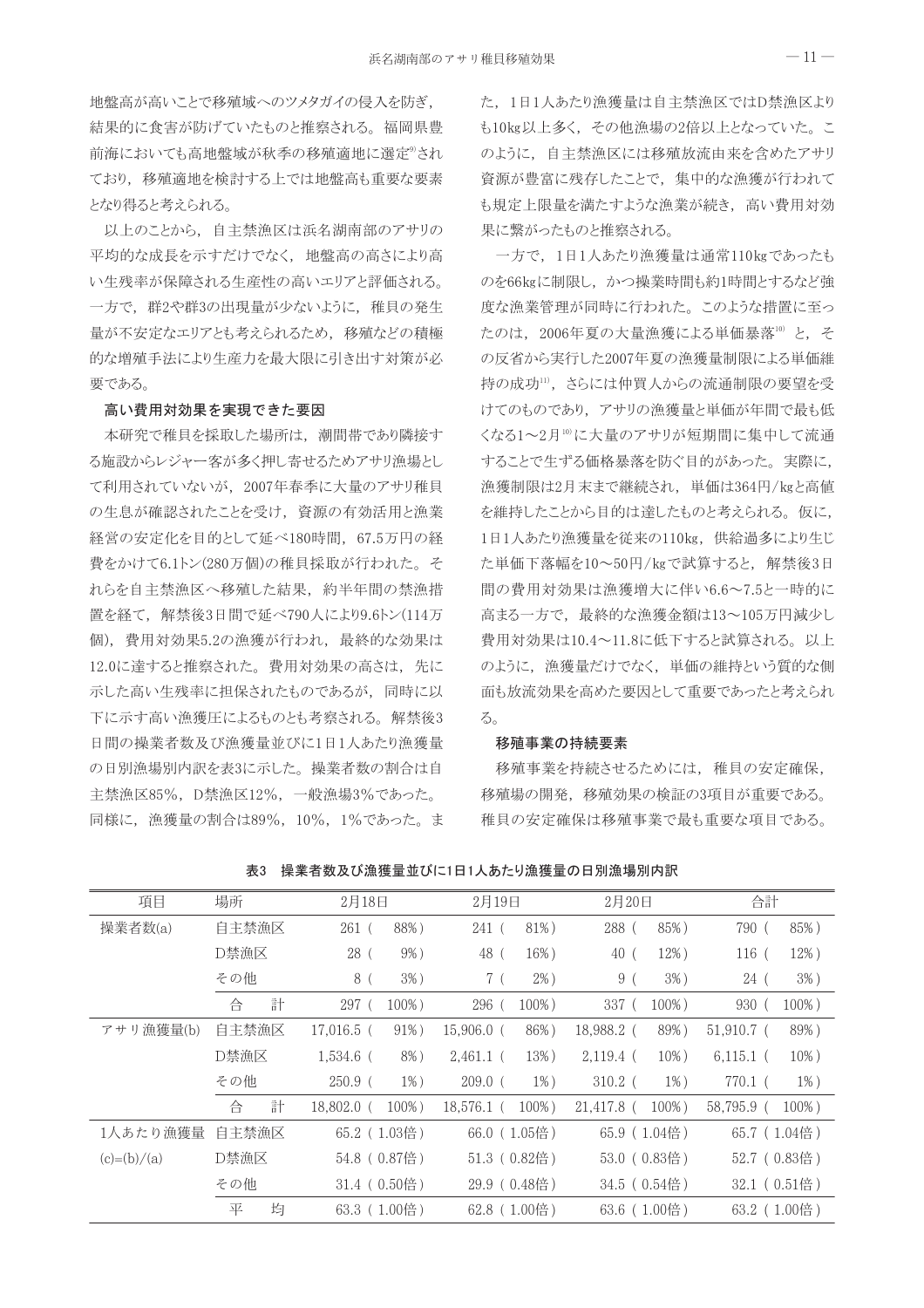地盤高が高いことで移殖域へのツメタガイの侵入を防ぎ、 結果的に食害が防げていたものと推察される。福岡県豊 前海においても高地盤域が秋季の移殖適地に選定®され ており、移殖適地を検討する上では地盤高も重要な要素 となり得ると考えられる。

以上のことから、自主禁漁区は浜名湖南部のアサリの 平均的な成長を示すだけでなく、地盤高の高さにより高 い生残率が保障される生産性の高いエリアと評価される。 一方で、群2や群3の出現量が少ないように、稚貝の発生 量が不安定なエリアとも考えられるため、移殖などの積極 的な増殖手法により生産力を最大限に引き出す対策が必 要である。

#### 高い費用対効果を実現できた要因

本研究で稚貝を採取した場所は、潮間帯であり隣接す る施設からレジャー客が多く押し寄せるためアサリ漁場とし て利用されていないが、2007年春季に大量のアサリ稚貝 の生息が確認されたことを受け、資源の有効活用と漁業 経営の安定化を目的として延べ180時間、67.5万円の経 費をかけて6.1トン(280万個)の稚貝採取が行われた。そ れらを自主禁漁区へ移殖した結果、約半年間の禁漁措 置を経て、解禁後3日間で延べ790人により9.6トン(114万 個)、費用対効果5.2の漁獲が行われ、最終的な効果は 12.0に達すると推察された。費用対効果の高さは、先に 示した高い生残率に担保されたものであるが、同時に以 下に示す高い漁獲圧によるものとも考察される。 解禁後3 日間の操業者数及び漁獲量並びに1日1人あたり漁獲量 の日別漁場別内訳を表3に示した。操業者数の割合は自 主禁漁区85%, D禁漁区12%, 一般漁場3%であった。 同様に、漁獲量の割合は89%, 10%, 1%であった。ま た、1日1人あたり漁獲量は自主禁漁区ではD禁漁区より も10kg以上多く、その他漁場の2倍以上となっていた。こ のように、自主禁漁区には移殖放流由来を含めたアサリ 資源が豊富に残存したことで、集中的な漁獲が行われて も規定上限量を満たすような漁業が続き、高い費用対効 果に繋がったものと推察される。

一方で、1日1人あたり漁獲量は通常110kgであったも のを66kgに制限し、かつ操業時間も約1時間とするなど強 度な漁業管理が同時に行われた。このような措置に至っ たのは、2006年夏の大量漁獲による単価暴落10)と、そ の反省から実行した2007年夏の漁獲量制限による単価維 持の成功11)、さらには仲買人からの流通制限の要望を受 けてのものであり、アサリの漁獲量と単価が年間で最も低 くなる1~2月10に大量のアサリが短期間に集中して流通 することで生ずる価格暴落を防ぐ目的があった。 実際に, 漁獲制限は2月末まで継続され、単価は364円/kgと高値 を維持したことから目的は達したものと考えられる。仮に、 1日1人あたり漁獲量を従来の110kg, 供給過多により生じ た単価下落幅を10~50円/kgで試算すると、解禁後3日 間の費用対効果は漁獲増大に伴い6.6~7.5と一時的に 高まる一方で、最終的な漁獲金額は13~105万円減少し 費用対効果は10.4~11.8に低下すると試算される。以上 のように、漁獲量だけでなく、単価の維持という質的な側 面も放流効果を高めた要因として重要であったと考えられ る。

#### 移殖事業の持続要素

移殖事業を持続させるためには、稚貝の安定確保、 移殖場の開発,移殖効果の検証の3項目が重要である。 稚貝の安定確保は移殖事業で最も重要な項目である。

| 項目            | 場所     | 2月18日                     | 2月19日                   | 2月20日                     | 合計                      |
|---------------|--------|---------------------------|-------------------------|---------------------------|-------------------------|
| 操業者数(a)       | 自主禁漁区  | 88%)<br>$261$ (           | 81%)<br>241(            | 85%)<br>288 (             | 790 (<br>85%)           |
|               | D禁漁区   | $9\%$ )<br>28 (           | 48 (<br>16%)            | 12%)<br>40 (              | 12%)<br>$116$ (         |
|               | その他    | $3\%$ )<br>8 (            | $2\%$ )<br>7 (          | 9 (<br>$3\%$ )            | $3\%$ )<br>24(          |
|               | 計<br>合 | 297(<br>$100\%$ )         | $100\%$ )<br>296 (      | 337 (<br>$100\%$ )        | 930 (<br>$100\%$ )      |
| アサリ漁獲量(b)     | 自主禁漁区  | 91%)<br>17.016.5 (        | 86%)<br>$15,906.0$ (    | 89%)<br>18,988.2 (        | 89%)<br>$51,910.7$ (    |
|               | D禁漁区   | $1,534.6$ (<br>$8\%$ )    | $2,461.1$ (<br>13%)     | $2,119.4$ (<br>$10\%$ )   | $10\%$ )<br>$6,115.1$ ( |
|               | その他    | $250.9$ (<br>$1\%$ )      | $1\%$ )<br>$209.0$ (    | $1\%$ )<br>$310.2$ (      | $1\%$ )<br>770.1 (      |
|               | 計<br>合 | $100\%$ )<br>$18.802.0$ ( | $100\%$ )<br>18.576.1 ( | $100\%$ )<br>$21,417.8$ ( | 58.795.9 (<br>$100\%$ ) |
| 1人あたり漁獲量      | 自主禁漁区  | 65.2 (1.03倍)              | 66.0 (1.05倍)            | 65.9 (1.04倍)              | $65.7$ (1.04倍)          |
| $(c)=(b)/(a)$ | D禁漁区   | 54.8 (0.87倍)              | $51.3(0.82$ 倍)          | 53.0 (0.83倍)              | 52.7 (0.83倍)            |
|               | その他    | 31.4 (0.50倍)              | 29.9 (0.48倍)            | 34.5 (0.54倍)              | 32.1 (0.51倍)            |
|               | 均<br>平 | 63.3 (1.00倍)              | 62.8 (1.00倍)            | 63.6 (1.00倍)              | 63.2 (1.00倍)            |

表3 操業者数及び漁獲量並びに1日1人あたり漁獲量の日別漁場別内訳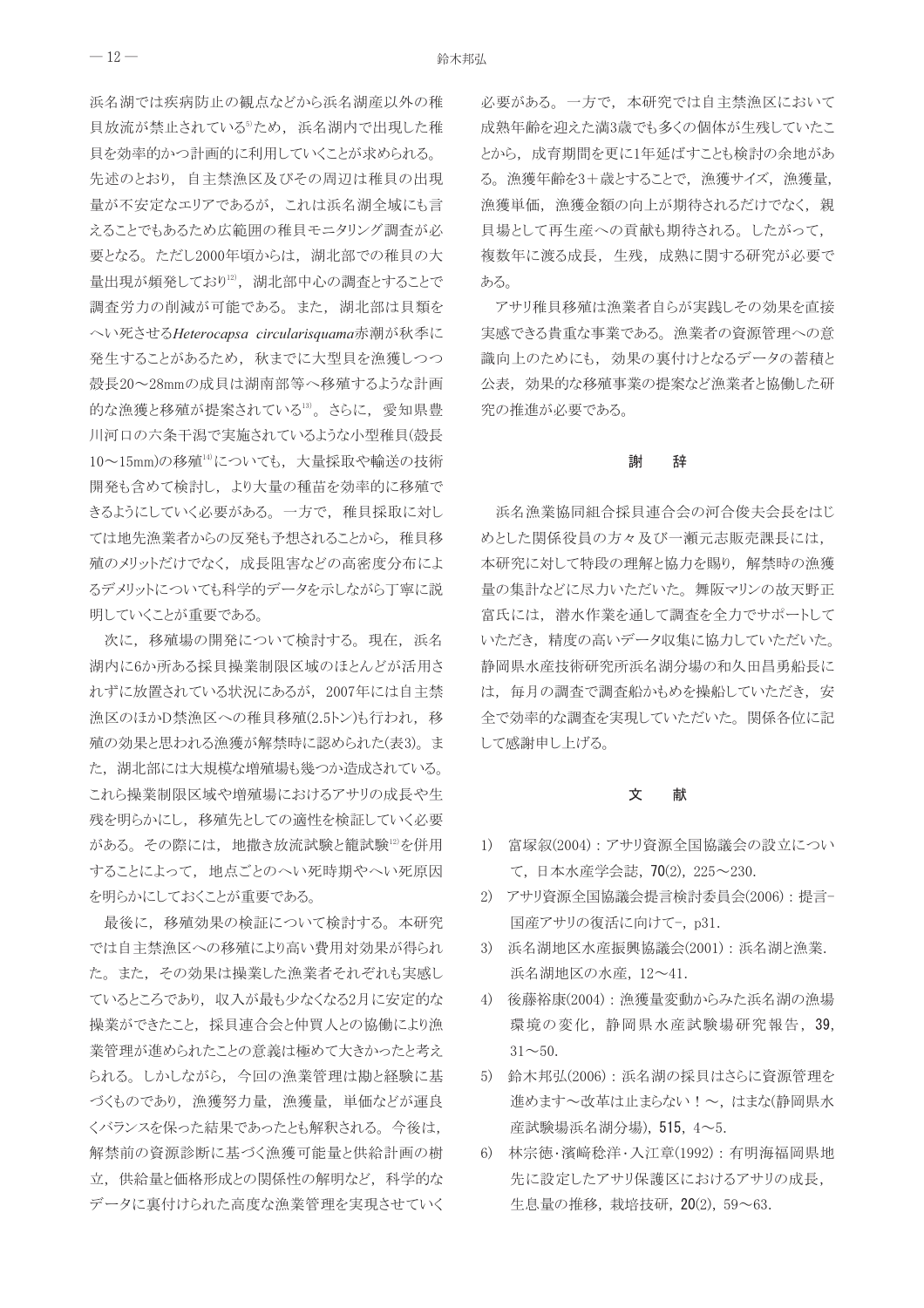浜名湖では疾病防止の観点などから浜名湖産以外の稚 貝放流が禁止されている<sup>6</sup>ため、浜名湖内で出現した稚 貝を効率的かつ計画的に利用していくことが求められる。 先述のとおり、自主禁漁区及びその周辺は稚貝の出現 量が不安定なエリアであるが、これは浜名湖全域にも言 えることでもあるため広範囲の稚貝モニタリング調査が必 要となる。ただし2000年頃からは、湖北部での稚貝の大 量出現が頻発しており12, 湖北部中心の調査とすることで 調査労力の削減が可能である。また、湖北部は貝類を へい死させるHeterocapsa circularisquama赤潮が秋季に 発生することがあるため、秋までに大型貝を漁獲しつつ 殻長20~28mmの成貝は湖南部等へ移殖するような計画 的な漁獲と移殖が提案されている13)。さらに、愛知県豊 川河口の六条干潟で実施されているような小型稚貝(殻長 10~15mm)の移殖14)についても、大量採取や輸送の技術 開発も含めて検討し、より大量の種苗を効率的に移殖で きるようにしていく必要がある。一方で、稚貝採取に対し ては地先漁業者からの反発も予想されることから、稚貝移 殖のメリットだけでなく、成長阻害などの高密度分布によ るデメリットについても科学的データを示しながら丁寧に説 明していくことが重要である。

次に、移殖場の開発について検討する。現在、浜名 湖内に6か所ある採貝操業制限区域のほとんどが活用さ れずに放置されている状況にあるが、2007年には自主禁 漁区のほかD禁漁区への稚貝移殖(2.5トン)も行われ、移 殖の効果と思われる漁獲が解禁時に認められた(表3)。ま た、湖北部には大規模な増殖場も幾つか造成されている。 これら操業制限区域や増殖場におけるアサリの成長や生 残を明らかにし、移殖先としての適性を検証していく必要 がある。その際には、地撒き放流試験と籠試験12を併用 することによって、地点ごとのへい死時期やへい死原因 を明らかにしておくことが重要である。

最後に、移殖効果の検証について検討する。本研究 では自主禁漁区への移殖により高い費用対効果が得られ た。また、その効果は操業した漁業者それぞれも実感し ているところであり、収入が最も少なくなる2月に安定的な 操業ができたこと、採貝連合会と仲買人との協働により漁 業管理が進められたことの意義は極めて大きかったと考え られる。しかしながら、今回の漁業管理は勘と経験に基 づくものであり、漁獲努力量、漁獲量、単価などが運良 くバランスを保った結果であったとも解釈される。今後は, 解禁前の資源診断に基づく漁獲可能量と供給計画の樹 立、供給量と価格形成との関係性の解明など、科学的な データに裏付けられた高度な漁業管理を実現させていく 必要がある。一方で、本研究では自主禁漁区において 成熟年齢を迎えた満3歳でも多くの個体が生残していたこ とから、成育期間を更に1年延ばすことも検討の余地があ る。漁獲年齢を3+歳とすることで、漁獲サイズ、漁獲量, 漁獲単価、漁獲金額の向上が期待されるだけでなく、親 貝場として再生産への貢献も期待される。したがって, 複数年に渡る成長、生残、成熟に関する研究が必要で ある。

アサリ稚貝移殖は漁業者自らが実践しその効果を直接 実感できる貴重な事業である。漁業者の資源管理への意 識向上のためにも、効果の裏付けとなるデータの蓄積と 公表、効果的な移殖事業の提案など漁業者と協働した研 究の推進が必要である。

#### 謝 辞

浜名漁業協同組合採貝連合会の河合俊夫会長をはじ めとした関係役員の方々及び一瀬元志販売課長には, 本研究に対して特段の理解と協力を賜り、解禁時の漁獲 量の集計などに尽力いただいた。舞阪マリンの故天野正 富氏には、潜水作業を通して調査を全力でサポートして いただき、精度の高いデータ収集に協力していただいた。 静岡県水産技術研究所浜名湖分場の和久田昌勇船長に は、毎月の調査で調査船かもめを操船していただき、安 全で効率的な調査を実現していただいた。関係各位に記 して感謝申し上げる。

#### 文 献

- 1) 富塚叙(2004):アサリ資源全国協議会の設立につい て,日本水産学会誌,70⑵,225~230.
- 2) アサリ資源全国協議会提言検討委員会(2006):提言-国産アサリの復活に向けて-, p31.
- 3) 浜名湖地区水産振興協議会(2001):浜名湖と漁業. 浜名湖地区の水産, 12~41.
- 4) 後藤裕康(2004): 漁獲量変動からみた浜名湖の漁場 環境の変化,静岡県水産試験場研究報告, 39,  $31^{\sim}50$ .
- 5) 鈴木邦弘(2006): 浜名湖の採貝はさらに資源管理を 進めます~改革は止まらない!~,はまな(静岡県水 産試験場浜名湖分場), 515, 4~5.
- 6) 林宗徳·濱﨑稔洋·入江章(1992): 有明海福岡県地 先に設定したアサリ保護区におけるアサリの成長, 生息量の推移, 栽培技研, 20(2), 59~63.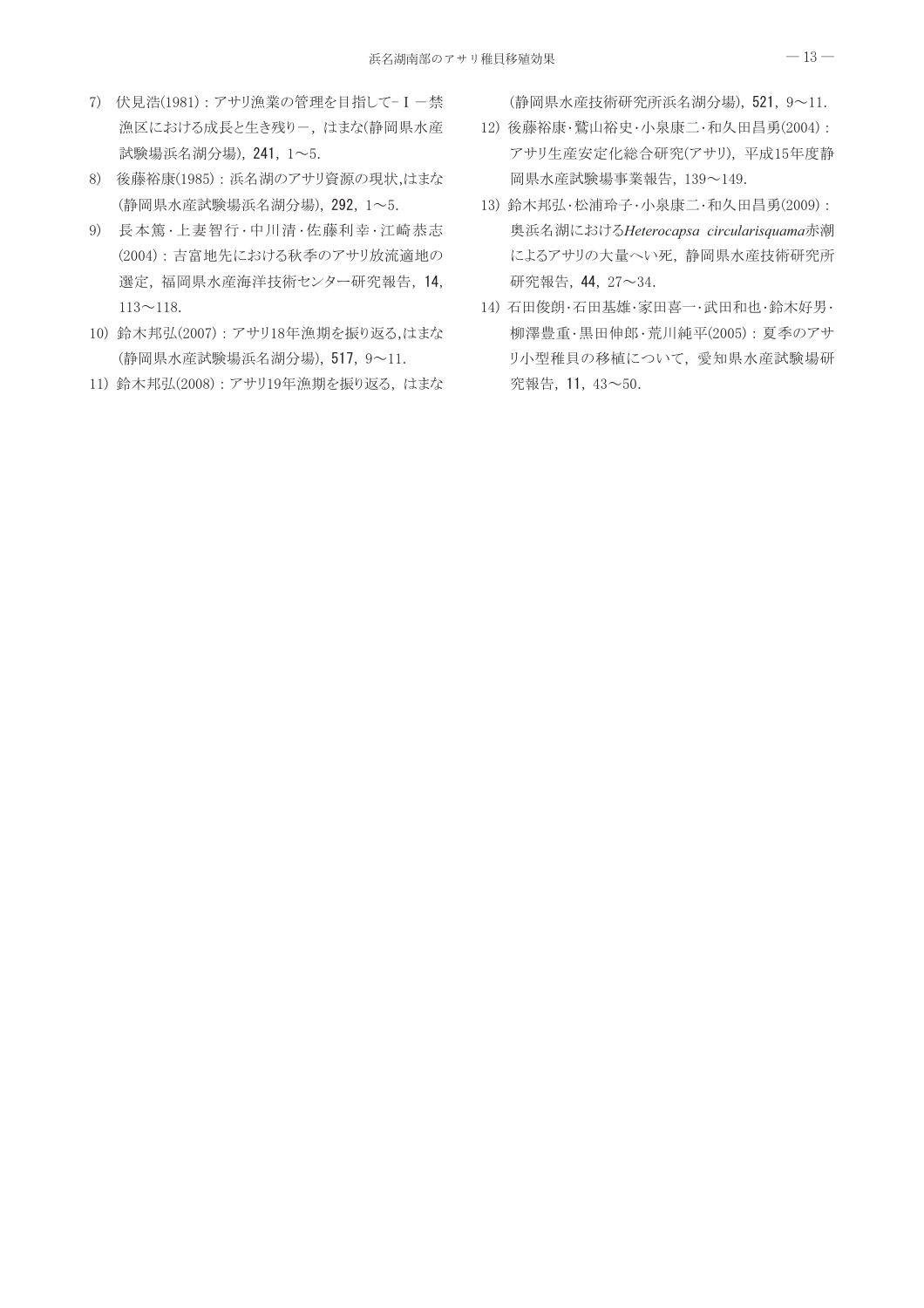- 7) 伏見浩(1981):アサリ漁業の管理を目指して-I-禁 漁区における成長と生き残りー、はまな(静岡県水産 試験場浜名湖分場), 241, 1~5.
- 8) 後藤裕康(1985): 浜名湖のアサリ資源の現状,はまな (静岡県水産試験場浜名湖分場), 292, 1~5.
- 9) 長本篤·上妻智行·中川清·佐藤利幸·江崎恭志 (2004): 吉富地先における秋季のアサリ放流適地の 選定,福岡県水産海洋技術センター研究報告, 14,  $113 \sim 118$ .
- 10) 鈴木邦弘(2007): アサリ18年漁期を振り返る,はまな (静岡県水産試験場浜名湖分場), 517, 9~11.
- 11) 鈴木邦弘(2008):アサリ19年漁期を振り返る、はまな

(静岡県水産技術研究所浜名湖分場), 521, 9~11.

- 12) 後藤裕康·鷲山裕史·小泉康二·和久田昌勇(2004): アサリ生産安定化総合研究(アサリ), 平成15年度静 岡県水産試験場事業報告, 139~149.
- 13) 鈴木邦弘·松浦玲子·小泉康二·和久田昌勇(2009): 奥浜名湖におけるHeterocapsa circularisquama赤潮 によるアサリの大量へい死,静岡県水産技術研究所 研究報告, 44, 27~34.
- 14) 石田俊朗·石田基雄·家田喜一·武田和也·鈴木好男· 柳澤豊重・黒田伸郎・荒川純平(2005): 夏季のアサ リ小型稚貝の移植について、愛知県水産試験場研 究報告, 11, 43~50.